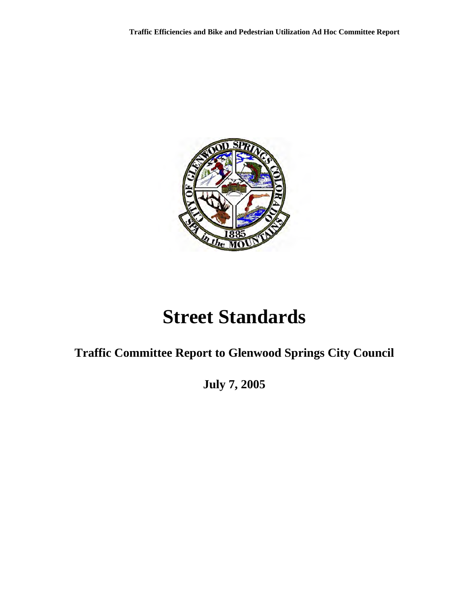

# **Street Standards**

# **Traffic Committee Report to Glenwood Springs City Council**

**July 7, 2005**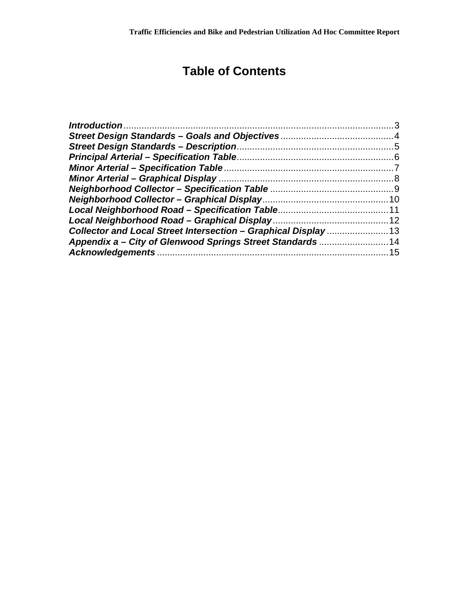# **Table of Contents**

| Collector and Local Street Intersection - Graphical Display 13 |  |
|----------------------------------------------------------------|--|
| Appendix a – City of Glenwood Springs Street Standards 14      |  |
|                                                                |  |
|                                                                |  |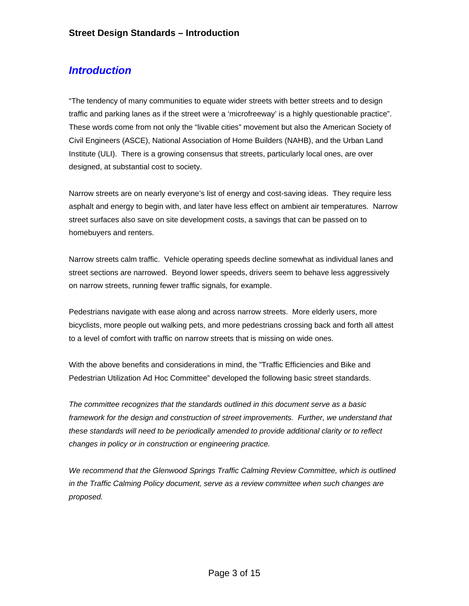#### <span id="page-2-0"></span>*Introduction*

"The tendency of many communities to equate wider streets with better streets and to design traffic and parking lanes as if the street were a 'microfreeway' is a highly questionable practice". These words come from not only the "livable cities" movement but also the American Society of Civil Engineers (ASCE), National Association of Home Builders (NAHB), and the Urban Land Institute (ULI). There is a growing consensus that streets, particularly local ones, are over designed, at substantial cost to society.

Narrow streets are on nearly everyone's list of energy and cost-saving ideas. They require less asphalt and energy to begin with, and later have less effect on ambient air temperatures. Narrow street surfaces also save on site development costs, a savings that can be passed on to homebuyers and renters.

Narrow streets calm traffic. Vehicle operating speeds decline somewhat as individual lanes and street sections are narrowed. Beyond lower speeds, drivers seem to behave less aggressively on narrow streets, running fewer traffic signals, for example.

Pedestrians navigate with ease along and across narrow streets. More elderly users, more bicyclists, more people out walking pets, and more pedestrians crossing back and forth all attest to a level of comfort with traffic on narrow streets that is missing on wide ones.

With the above benefits and considerations in mind, the "Traffic Efficiencies and Bike and Pedestrian Utilization Ad Hoc Committee" developed the following basic street standards.

*The committee recognizes that the standards outlined in this document serve as a basic framework for the design and construction of street improvements. Further, we understand that these standards will need to be periodically amended to provide additional clarity or to reflect changes in policy or in construction or engineering practice.* 

*We recommend that the Glenwood Springs Traffic Calming Review Committee, which is outlined in the Traffic Calming Policy document, serve as a review committee when such changes are proposed.*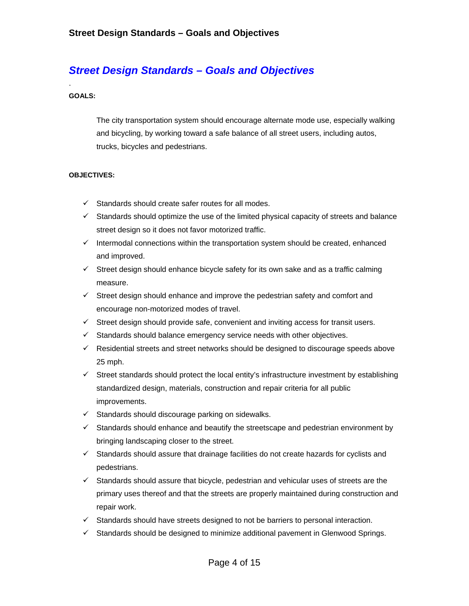## <span id="page-3-0"></span>*Street Design Standards – Goals and Objectives*

#### **GOALS:**

.

The city transportation system should encourage alternate mode use, especially walking and bicycling, by working toward a safe balance of all street users, including autos, trucks, bicycles and pedestrians.

#### **OBJECTIVES:**

- $\checkmark$  Standards should create safer routes for all modes.
- $\checkmark$  Standards should optimize the use of the limited physical capacity of streets and balance street design so it does not favor motorized traffic.
- $\checkmark$  Intermodal connections within the transportation system should be created, enhanced and improved.
- $\checkmark$  Street design should enhance bicycle safety for its own sake and as a traffic calming measure.
- $\checkmark$  Street design should enhance and improve the pedestrian safety and comfort and encourage non-motorized modes of travel.
- $\checkmark$  Street design should provide safe, convenient and inviting access for transit users.
- $\checkmark$  Standards should balance emergency service needs with other objectives.
- $\checkmark$  Residential streets and street networks should be designed to discourage speeds above 25 mph.
- $\checkmark$  Street standards should protect the local entity's infrastructure investment by establishing standardized design, materials, construction and repair criteria for all public improvements.
- $\checkmark$  Standards should discourage parking on sidewalks.
- $\checkmark$  Standards should enhance and beautify the streetscape and pedestrian environment by bringing landscaping closer to the street.
- $\checkmark$  Standards should assure that drainage facilities do not create hazards for cyclists and pedestrians.
- $\checkmark$  Standards should assure that bicycle, pedestrian and vehicular uses of streets are the primary uses thereof and that the streets are properly maintained during construction and repair work.
- $\checkmark$  Standards should have streets designed to not be barriers to personal interaction.
- $\checkmark$  Standards should be designed to minimize additional pavement in Glenwood Springs.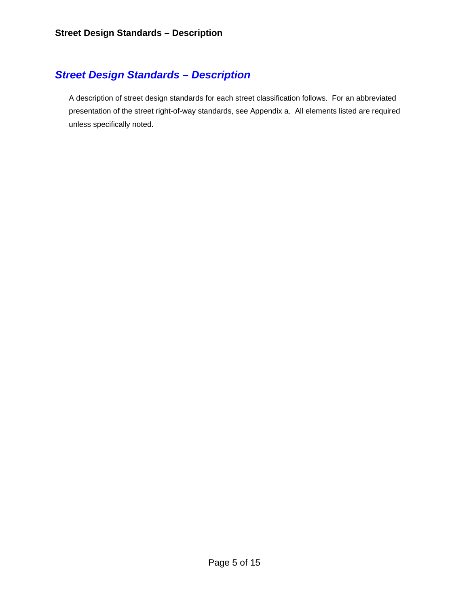#### <span id="page-4-0"></span>*Street Design Standards – Description*

A description of street design standards for each street classification follows. For an abbreviated presentation of the street right-of-way standards, see Appendix a. All elements listed are required unless specifically noted.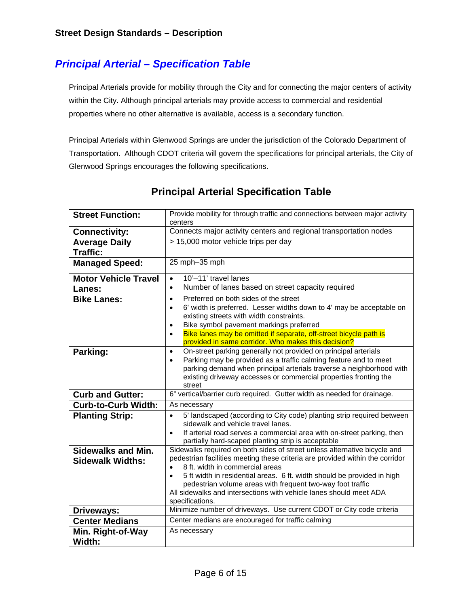## <span id="page-5-0"></span>*Principal Arterial – Specification Table*

Principal Arterials provide for mobility through the City and for connecting the major centers of activity within the City. Although principal arterials may provide access to commercial and residential properties where no other alternative is available, access is a secondary function.

Principal Arterials within Glenwood Springs are under the jurisdiction of the Colorado Department of Transportation. Although CDOT criteria will govern the specifications for principal arterials, the City of Glenwood Springs encourages the following specifications.

| <b>Street Function:</b>                 | Provide mobility for through traffic and connections between major activity<br>centers                                                             |  |  |  |  |  |  |
|-----------------------------------------|----------------------------------------------------------------------------------------------------------------------------------------------------|--|--|--|--|--|--|
| <b>Connectivity:</b>                    | Connects major activity centers and regional transportation nodes                                                                                  |  |  |  |  |  |  |
| <b>Average Daily</b><br><b>Traffic:</b> | > 15,000 motor vehicle trips per day                                                                                                               |  |  |  |  |  |  |
| <b>Managed Speed:</b>                   | 25 mph-35 mph                                                                                                                                      |  |  |  |  |  |  |
| <b>Motor Vehicle Travel</b>             | 10'-11' travel lanes<br>$\bullet$                                                                                                                  |  |  |  |  |  |  |
| <b>Lanes:</b>                           | Number of lanes based on street capacity required<br>$\bullet$                                                                                     |  |  |  |  |  |  |
| <b>Bike Lanes:</b>                      | Preferred on both sides of the street<br>$\bullet$                                                                                                 |  |  |  |  |  |  |
|                                         | 6' width is preferred. Lesser widths down to 4' may be acceptable on<br>$\bullet$                                                                  |  |  |  |  |  |  |
|                                         | existing streets with width constraints.                                                                                                           |  |  |  |  |  |  |
|                                         | Bike symbol pavement markings preferred<br>$\bullet$<br>Bike lanes may be omitted if separate, off-street bicycle path is<br>$\bullet$             |  |  |  |  |  |  |
|                                         | provided in same corridor. Who makes this decision?                                                                                                |  |  |  |  |  |  |
| Parking:                                | On-street parking generally not provided on principal arterials<br>$\bullet$                                                                       |  |  |  |  |  |  |
|                                         | Parking may be provided as a traffic calming feature and to meet<br>$\bullet$                                                                      |  |  |  |  |  |  |
|                                         | parking demand when principal arterials traverse a neighborhood with                                                                               |  |  |  |  |  |  |
|                                         | existing driveway accesses or commercial properties fronting the<br>street                                                                         |  |  |  |  |  |  |
| <b>Curb and Gutter:</b>                 | 6" vertical/barrier curb required. Gutter width as needed for drainage.                                                                            |  |  |  |  |  |  |
| <b>Curb-to-Curb Width:</b>              | As necessary                                                                                                                                       |  |  |  |  |  |  |
| <b>Planting Strip:</b>                  | 5' landscaped (according to City code) planting strip required between<br>$\bullet$                                                                |  |  |  |  |  |  |
|                                         | sidewalk and vehicle travel lanes.                                                                                                                 |  |  |  |  |  |  |
|                                         | If arterial road serves a commercial area with on-street parking, then<br>$\bullet$<br>partially hard-scaped planting strip is acceptable          |  |  |  |  |  |  |
| <b>Sidewalks and Min.</b>               | Sidewalks required on both sides of street unless alternative bicycle and                                                                          |  |  |  |  |  |  |
| <b>Sidewalk Widths:</b>                 | pedestrian facilities meeting these criteria are provided within the corridor                                                                      |  |  |  |  |  |  |
|                                         | 8 ft. width in commercial areas                                                                                                                    |  |  |  |  |  |  |
|                                         | 5 ft width in residential areas. 6 ft. width should be provided in high<br>$\bullet$<br>pedestrian volume areas with frequent two-way foot traffic |  |  |  |  |  |  |
|                                         | All sidewalks and intersections with vehicle lanes should meet ADA                                                                                 |  |  |  |  |  |  |
|                                         | specifications.                                                                                                                                    |  |  |  |  |  |  |
| Driveways:                              | Minimize number of driveways. Use current CDOT or City code criteria                                                                               |  |  |  |  |  |  |
| <b>Center Medians</b>                   | Center medians are encouraged for traffic calming                                                                                                  |  |  |  |  |  |  |
| Min. Right-of-Way                       | As necessary                                                                                                                                       |  |  |  |  |  |  |
| Width:                                  |                                                                                                                                                    |  |  |  |  |  |  |

#### **Principal Arterial Specification Table**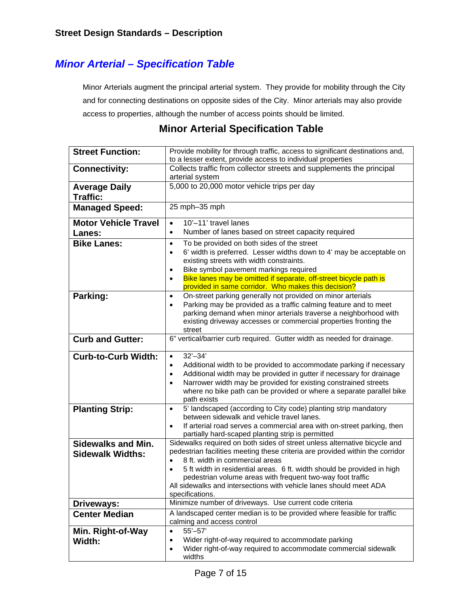#### <span id="page-6-0"></span>*Minor Arterial – Specification Table*

Minor Arterials augment the principal arterial system. They provide for mobility through the City and for connecting destinations on opposite sides of the City. Minor arterials may also provide access to properties, although the number of access points should be limited.

#### **Minor Arterial Specification Table**

| <b>Street Function:</b>                       | Provide mobility for through traffic, access to significant destinations and,<br>to a lesser extent, provide access to individual properties                                                                                                                                                                                                                                                                                                 |  |  |  |  |  |
|-----------------------------------------------|----------------------------------------------------------------------------------------------------------------------------------------------------------------------------------------------------------------------------------------------------------------------------------------------------------------------------------------------------------------------------------------------------------------------------------------------|--|--|--|--|--|
| <b>Connectivity:</b>                          | Collects traffic from collector streets and supplements the principal<br>arterial system                                                                                                                                                                                                                                                                                                                                                     |  |  |  |  |  |
|                                               | 5,000 to 20,000 motor vehicle trips per day                                                                                                                                                                                                                                                                                                                                                                                                  |  |  |  |  |  |
| <b>Average Daily</b><br><b>Traffic:</b>       |                                                                                                                                                                                                                                                                                                                                                                                                                                              |  |  |  |  |  |
| <b>Managed Speed:</b>                         | 25 mph-35 mph                                                                                                                                                                                                                                                                                                                                                                                                                                |  |  |  |  |  |
| <b>Motor Vehicle Travel</b>                   | 10'-11' travel lanes<br>$\bullet$                                                                                                                                                                                                                                                                                                                                                                                                            |  |  |  |  |  |
| Lanes:                                        | Number of lanes based on street capacity required<br>$\bullet$                                                                                                                                                                                                                                                                                                                                                                               |  |  |  |  |  |
| <b>Bike Lanes:</b>                            | To be provided on both sides of the street<br>$\bullet$<br>6' width is preferred. Lesser widths down to 4' may be acceptable on<br>$\bullet$<br>existing streets with width constraints.<br>Bike symbol pavement markings required<br>$\bullet$                                                                                                                                                                                              |  |  |  |  |  |
|                                               | Bike lanes may be omitted if separate, off-street bicycle path is<br>$\bullet$<br>provided in same corridor. Who makes this decision?                                                                                                                                                                                                                                                                                                        |  |  |  |  |  |
| Parking:                                      | On-street parking generally not provided on minor arterials<br>$\bullet$<br>Parking may be provided as a traffic calming feature and to meet<br>$\bullet$<br>parking demand when minor arterials traverse a neighborhood with<br>existing driveway accesses or commercial properties fronting the<br>street                                                                                                                                  |  |  |  |  |  |
| <b>Curb and Gutter:</b>                       | 6" vertical/barrier curb required. Gutter width as needed for drainage.                                                                                                                                                                                                                                                                                                                                                                      |  |  |  |  |  |
| <b>Curb-to-Curb Width:</b>                    | $32' - 34'$<br>$\bullet$<br>Additional width to be provided to accommodate parking if necessary<br>$\bullet$<br>Additional width may be provided in gutter if necessary for drainage<br>$\bullet$<br>Narrower width may be provided for existing constrained streets<br>$\bullet$<br>where no bike path can be provided or where a separate parallel bike<br>path exists                                                                     |  |  |  |  |  |
| <b>Planting Strip:</b>                        | 5' landscaped (according to City code) planting strip mandatory<br>$\bullet$<br>between sidewalk and vehicle travel lanes.<br>If arterial road serves a commercial area with on-street parking, then<br>$\bullet$                                                                                                                                                                                                                            |  |  |  |  |  |
|                                               | partially hard-scaped planting strip is permitted                                                                                                                                                                                                                                                                                                                                                                                            |  |  |  |  |  |
| Sidewalks and Min.<br><b>Sidewalk Widths:</b> | Sidewalks required on both sides of street unless alternative bicycle and<br>pedestrian facilities meeting these criteria are provided within the corridor<br>8 ft. width in commercial areas<br>5 ft width in residential areas. 6 ft. width should be provided in high<br>$\bullet$<br>pedestrian volume areas with frequent two-way foot traffic<br>All sidewalks and intersections with vehicle lanes should meet ADA<br>specifications. |  |  |  |  |  |
| Driveways:                                    | Minimize number of driveways. Use current code criteria                                                                                                                                                                                                                                                                                                                                                                                      |  |  |  |  |  |
| <b>Center Median</b>                          | A landscaped center median is to be provided where feasible for traffic<br>calming and access control                                                                                                                                                                                                                                                                                                                                        |  |  |  |  |  |
| Min. Right-of-Way<br>Width:                   | $55 - 57'$<br>$\bullet$<br>Wider right-of-way required to accommodate parking<br>$\bullet$<br>Wider right-of-way required to accommodate commercial sidewalk<br>$\bullet$<br>widths                                                                                                                                                                                                                                                          |  |  |  |  |  |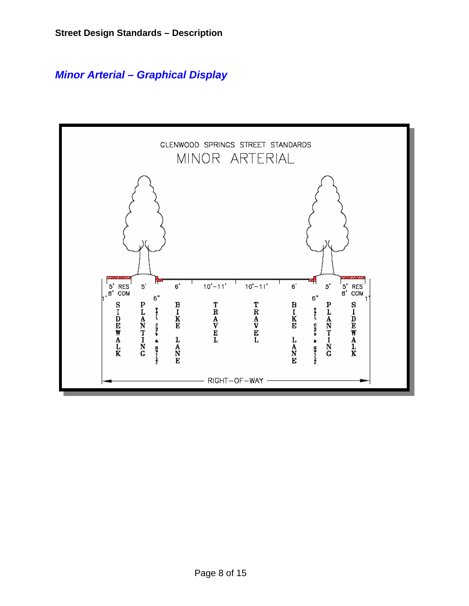<span id="page-7-0"></span>*Minor Arterial – Graphical Display* 

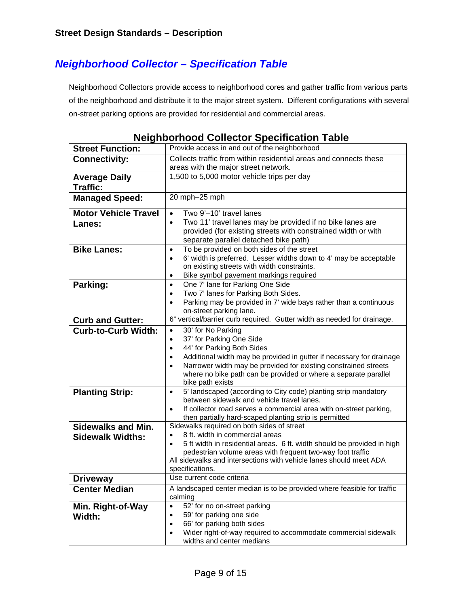## <span id="page-8-0"></span>*Neighborhood Collector – Specification Table*

Neighborhood Collectors provide access to neighborhood cores and gather traffic from various parts of the neighborhood and distribute it to the major street system. Different configurations with several on-street parking options are provided for residential and commercial areas.

| <b>Street Function:</b>     | . .<br>Provide access in and out of the neighborhood                                                                                 |  |  |  |  |  |  |
|-----------------------------|--------------------------------------------------------------------------------------------------------------------------------------|--|--|--|--|--|--|
| <b>Connectivity:</b>        | Collects traffic from within residential areas and connects these                                                                    |  |  |  |  |  |  |
|                             | areas with the major street network.                                                                                                 |  |  |  |  |  |  |
| <b>Average Daily</b>        | 1,500 to 5,000 motor vehicle trips per day                                                                                           |  |  |  |  |  |  |
| <b>Traffic:</b>             |                                                                                                                                      |  |  |  |  |  |  |
|                             | 20 mph-25 mph                                                                                                                        |  |  |  |  |  |  |
| <b>Managed Speed:</b>       |                                                                                                                                      |  |  |  |  |  |  |
| <b>Motor Vehicle Travel</b> | Two 9'-10' travel lanes<br>$\bullet$                                                                                                 |  |  |  |  |  |  |
| Lanes:                      | Two 11' travel lanes may be provided if no bike lanes are<br>$\bullet$                                                               |  |  |  |  |  |  |
|                             | provided (for existing streets with constrained width or with                                                                        |  |  |  |  |  |  |
|                             | separate parallel detached bike path)                                                                                                |  |  |  |  |  |  |
| <b>Bike Lanes:</b>          | To be provided on both sides of the street<br>$\bullet$                                                                              |  |  |  |  |  |  |
|                             | 6' width is preferred. Lesser widths down to 4' may be acceptable<br>$\bullet$                                                       |  |  |  |  |  |  |
|                             | on existing streets with width constraints.                                                                                          |  |  |  |  |  |  |
|                             | Bike symbol pavement markings required<br>$\bullet$                                                                                  |  |  |  |  |  |  |
| Parking:                    | One 7' lane for Parking One Side<br>$\bullet$                                                                                        |  |  |  |  |  |  |
|                             | Two 7' lanes for Parking Both Sides.<br>$\bullet$<br>Parking may be provided in 7' wide bays rather than a continuous                |  |  |  |  |  |  |
|                             | ٠<br>on-street parking lane.                                                                                                         |  |  |  |  |  |  |
| <b>Curb and Gutter:</b>     | 6" vertical/barrier curb required. Gutter width as needed for drainage.                                                              |  |  |  |  |  |  |
| <b>Curb-to-Curb Width:</b>  | 30' for No Parking                                                                                                                   |  |  |  |  |  |  |
|                             | $\bullet$<br>37' for Parking One Side<br>$\bullet$                                                                                   |  |  |  |  |  |  |
|                             | 44' for Parking Both Sides<br>$\bullet$                                                                                              |  |  |  |  |  |  |
|                             | Additional width may be provided in gutter if necessary for drainage<br>$\bullet$                                                    |  |  |  |  |  |  |
|                             | Narrower width may be provided for existing constrained streets<br>$\bullet$                                                         |  |  |  |  |  |  |
|                             | where no bike path can be provided or where a separate parallel                                                                      |  |  |  |  |  |  |
|                             | bike path exists                                                                                                                     |  |  |  |  |  |  |
| <b>Planting Strip:</b>      | 5' landscaped (according to City code) planting strip mandatory<br>$\bullet$                                                         |  |  |  |  |  |  |
|                             | between sidewalk and vehicle travel lanes.                                                                                           |  |  |  |  |  |  |
|                             | If collector road serves a commercial area with on-street parking,<br>$\bullet$                                                      |  |  |  |  |  |  |
|                             | then partially hard-scaped planting strip is permitted                                                                               |  |  |  |  |  |  |
| <b>Sidewalks and Min.</b>   | Sidewalks required on both sides of street                                                                                           |  |  |  |  |  |  |
| <b>Sidewalk Widths:</b>     | 8 ft. width in commercial areas<br>$\bullet$<br>5 ft width in residential areas. 6 ft. width should be provided in high<br>$\bullet$ |  |  |  |  |  |  |
|                             | pedestrian volume areas with frequent two-way foot traffic                                                                           |  |  |  |  |  |  |
|                             | All sidewalks and intersections with vehicle lanes should meet ADA                                                                   |  |  |  |  |  |  |
|                             | specifications.                                                                                                                      |  |  |  |  |  |  |
| <b>Driveway</b>             | Use current code criteria                                                                                                            |  |  |  |  |  |  |
| <b>Center Median</b>        | A landscaped center median is to be provided where feasible for traffic                                                              |  |  |  |  |  |  |
|                             | calming                                                                                                                              |  |  |  |  |  |  |
| Min. Right-of-Way           | 52' for no on-street parking<br>$\bullet$                                                                                            |  |  |  |  |  |  |
| Width:                      | 59' for parking one side<br>$\bullet$                                                                                                |  |  |  |  |  |  |
|                             | 66' for parking both sides<br>$\bullet$                                                                                              |  |  |  |  |  |  |
|                             | Wider right-of-way required to accommodate commercial sidewalk<br>$\bullet$                                                          |  |  |  |  |  |  |
|                             | widths and center medians                                                                                                            |  |  |  |  |  |  |

| <b>Neighborhood Collector Specification Table</b> |  |  |  |
|---------------------------------------------------|--|--|--|
|---------------------------------------------------|--|--|--|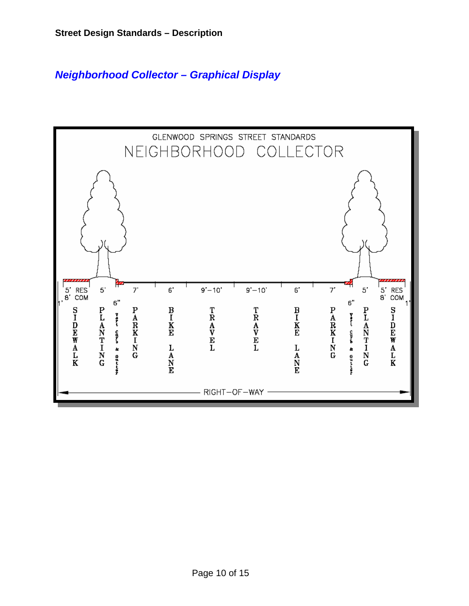## <span id="page-9-0"></span>*Neighborhood Collector – Graphical Display*

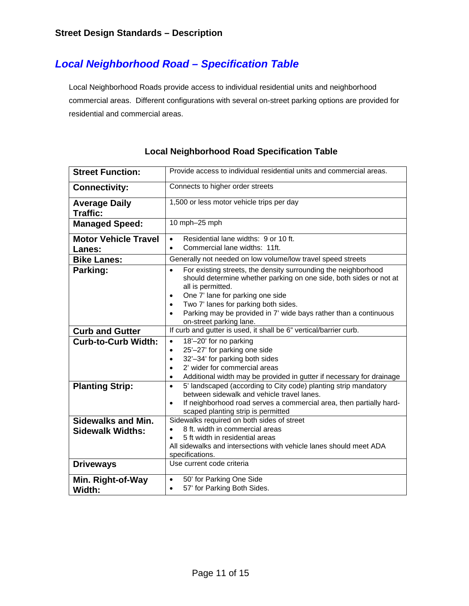## <span id="page-10-0"></span>*Local Neighborhood Road – Specification Table*

Local Neighborhood Roads provide access to individual residential units and neighborhood commercial areas. Different configurations with several on-street parking options are provided for residential and commercial areas.

| <b>Street Function:</b>                              | Provide access to individual residential units and commercial areas.                                                                                                                                                                                                         |  |  |  |  |  |  |
|------------------------------------------------------|------------------------------------------------------------------------------------------------------------------------------------------------------------------------------------------------------------------------------------------------------------------------------|--|--|--|--|--|--|
| <b>Connectivity:</b>                                 | Connects to higher order streets                                                                                                                                                                                                                                             |  |  |  |  |  |  |
| <b>Average Daily</b><br><b>Traffic:</b>              | 1,500 or less motor vehicle trips per day                                                                                                                                                                                                                                    |  |  |  |  |  |  |
| <b>Managed Speed:</b>                                | 10 mph-25 mph                                                                                                                                                                                                                                                                |  |  |  |  |  |  |
| <b>Motor Vehicle Travel</b>                          | Residential lane widths: 9 or 10 ft.<br>$\bullet$                                                                                                                                                                                                                            |  |  |  |  |  |  |
| <b>Lanes:</b>                                        | Commercial lane widths: 11ft.<br>$\bullet$                                                                                                                                                                                                                                   |  |  |  |  |  |  |
| <b>Bike Lanes:</b>                                   | Generally not needed on low volume/low travel speed streets                                                                                                                                                                                                                  |  |  |  |  |  |  |
| Parking:                                             | For existing streets, the density surrounding the neighborhood<br>$\bullet$<br>should determine whether parking on one side, both sides or not at<br>all is permitted.<br>One 7' lane for parking one side<br>$\bullet$<br>Two 7' lanes for parking both sides.<br>$\bullet$ |  |  |  |  |  |  |
|                                                      | Parking may be provided in 7' wide bays rather than a continuous<br>$\bullet$<br>on-street parking lane.                                                                                                                                                                     |  |  |  |  |  |  |
| <b>Curb and Gutter</b>                               | If curb and gutter is used, it shall be 6" vertical/barrier curb.                                                                                                                                                                                                            |  |  |  |  |  |  |
| <b>Curb-to-Curb Width:</b>                           | 18'-20' for no parking<br>$\bullet$<br>25'-27' for parking one side<br>$\bullet$<br>32'-34' for parking both sides<br>$\bullet$<br>2' wider for commercial areas<br>$\bullet$<br>Additional width may be provided in gutter if necessary for drainage<br>$\bullet$           |  |  |  |  |  |  |
| <b>Planting Strip:</b>                               | 5' landscaped (according to City code) planting strip mandatory<br>$\bullet$<br>between sidewalk and vehicle travel lanes.<br>If neighborhood road serves a commercial area, then partially hard-<br>$\bullet$<br>scaped planting strip is permitted                         |  |  |  |  |  |  |
| <b>Sidewalks and Min.</b><br><b>Sidewalk Widths:</b> | Sidewalks required on both sides of street<br>8 ft. width in commercial areas<br>$\bullet$<br>5 ft width in residential areas<br>All sidewalks and intersections with vehicle lanes should meet ADA<br>specifications.                                                       |  |  |  |  |  |  |
| <b>Driveways</b>                                     | Use current code criteria                                                                                                                                                                                                                                                    |  |  |  |  |  |  |
| Min. Right-of-Way<br>Width:                          | 50' for Parking One Side<br>$\bullet$<br>57' for Parking Both Sides.<br>$\bullet$                                                                                                                                                                                            |  |  |  |  |  |  |

#### **Local Neighborhood Road Specification Table**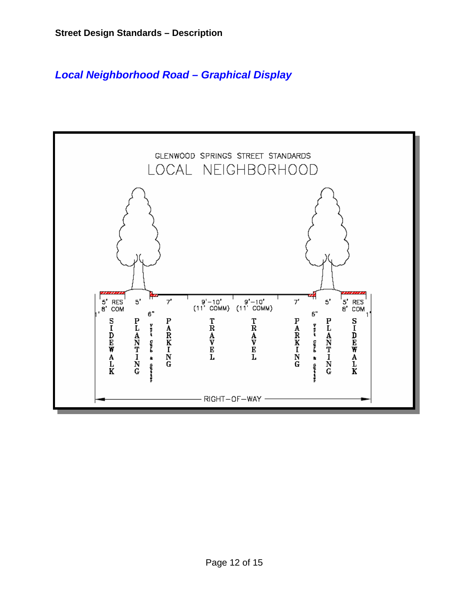### <span id="page-11-0"></span>*Local Neighborhood Road – Graphical Display*

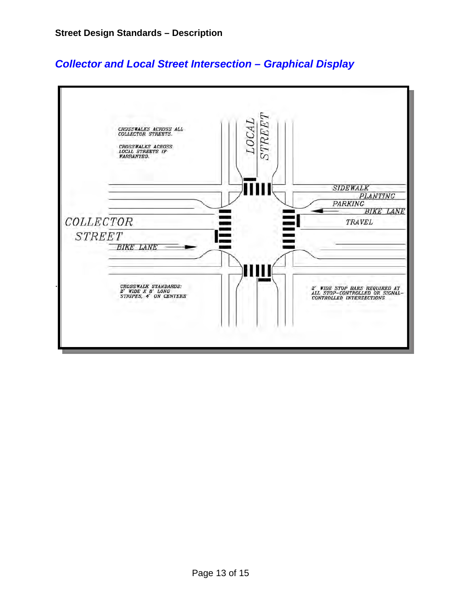

#### <span id="page-12-0"></span>*Collector and Local Street Intersection – Graphical Display*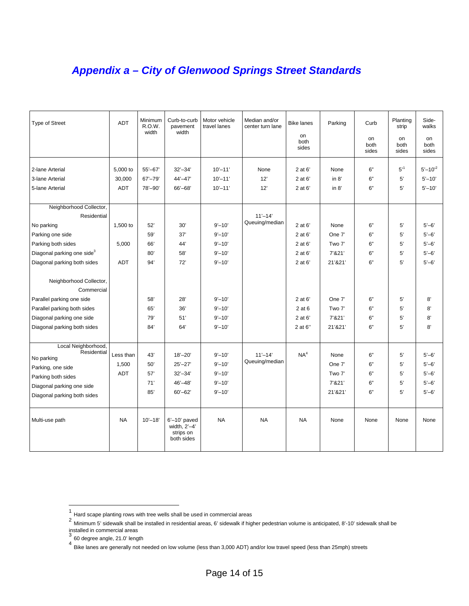## <span id="page-13-0"></span>*Appendix a – City of Glenwood Springs Street Standards*

| Type of Street                         | <b>ADT</b> | Minimum<br>R.O.W.<br>width | Curb-to-curb<br>pavement<br>width                            | Motor vehicle<br>travel lanes | Median and/or<br>center turn lane | <b>Bike lanes</b><br>on | Parking | Curb                | Planting<br>strip   | Side-<br>walks          |
|----------------------------------------|------------|----------------------------|--------------------------------------------------------------|-------------------------------|-----------------------------------|-------------------------|---------|---------------------|---------------------|-------------------------|
|                                        |            |                            |                                                              |                               |                                   | both<br>sides           |         | on<br>both<br>sides | on<br>both<br>sides | on<br>both<br>sides     |
| 2-lane Arterial                        | 5,000 to   | $55 - 67'$                 | $32 - 34'$                                                   | $10' - 11'$                   | None                              | 2 at 6'                 | None    | 6"                  | $5^{,1}$            | $5' - 10'$ <sup>2</sup> |
| 3-lane Arterial                        | 30,000     | $67' - 79'$                | $44' - 47'$                                                  | $10' - 11'$                   | 12'                               | 2 at 6'                 | in $8'$ | 6"                  | 5'                  | $5' - 10'$              |
| 5-lane Arterial                        | <b>ADT</b> | 78'-90'                    | 66'-68'                                                      | $10' - 11'$                   | 12'                               | 2 at 6'                 | in $8'$ | 6"                  | 5'                  | $5' - 10'$              |
| Neighborhood Collector,                |            |                            |                                                              |                               |                                   |                         |         |                     |                     |                         |
| Residential                            |            |                            |                                                              |                               | $11' - 14'$                       |                         |         |                     |                     |                         |
| No parking                             | 1,500 to   | 52'                        | 30'                                                          | $9' - 10'$                    | Queuing/median                    | 2 at 6'                 | None    | 6"                  | 5'                  | $5 - 6'$                |
| Parking one side                       |            | 59'                        | 37'                                                          | $9' - 10'$                    |                                   | 2 at 6'                 | One 7'  | 6"                  | 5'                  | $5 - 6'$                |
| Parking both sides                     | 5,000      | 66'                        | 44'                                                          | $9' - 10'$                    |                                   | 2 at 6'                 | Two 7'  | 6"                  | 5'                  | $5 - 6'$                |
| Diagonal parking one side <sup>3</sup> |            | 80'                        | 58'                                                          | $9' - 10'$                    |                                   | 2 at 6'                 | 7'&21'  | 6"                  | 5'                  | $5 - 6'$                |
| Diagonal parking both sides            | <b>ADT</b> | 94'                        | 72'                                                          | $9' - 10'$                    |                                   | 2 at 6'                 | 21'&21' | 6"                  | 5'                  | $5 - 6'$                |
|                                        |            |                            |                                                              |                               |                                   |                         |         |                     |                     |                         |
| Neighborhood Collector,                |            |                            |                                                              |                               |                                   |                         |         |                     |                     |                         |
| Commercial                             |            |                            |                                                              |                               |                                   |                         |         |                     |                     |                         |
| Parallel parking one side              |            | 58'                        | 28'                                                          | $9' - 10'$                    |                                   | 2 at 6'                 | One 7'  | 6"                  | 5'                  | 8'                      |
| Parallel parking both sides            |            | 65'                        | 36'                                                          | $9' - 10'$                    |                                   | 2 at 6                  | Two 7'  | 6"                  | 5'                  | 8'                      |
| Diagonal parking one side              |            | 79'                        | 51'                                                          | $9' - 10'$                    |                                   | 2 at 6'                 | 7'&21'  | 6"                  | 5'                  | 8'                      |
| Diagonal parking both sides            |            | 84'                        | 64'                                                          | $9' - 10'$                    |                                   | 2 at 6"                 | 21'&21' | 6"                  | 5'                  | 8'                      |
| Local Neighborhood,                    |            |                            |                                                              |                               |                                   |                         |         |                     |                     |                         |
| Residential                            | Less than  | 43'                        | $18 - 20'$                                                   | $9' - 10'$                    | $11' - 14'$                       | NA <sup>4</sup>         | None    | 6"                  | 5'                  | $5 - 6'$                |
| No parking                             | 1,500      | 50'                        | $25' - 27'$                                                  | $9' - 10'$                    | Queuing/median                    |                         | One 7'  | 6"                  | 5'                  | $5 - 6'$                |
| Parking, one side                      | <b>ADT</b> | 57'                        | $32' - 34'$                                                  | $9' - 10'$                    |                                   |                         | Two 7'  | 6"                  | 5'                  | $5 - 6'$                |
| Parking both sides                     |            | 71'                        | $46' - 48'$                                                  | $9' - 10'$                    |                                   |                         | 7'821'  | 6"                  | 5'                  | $5 - 6'$                |
| Diagonal parking one side              |            | 85'                        | $60 - 62$                                                    | $9' - 10'$                    |                                   |                         | 21'&21' | 6"                  | 5'                  | $5 - 6'$                |
| Diagonal parking both sides            |            |                            |                                                              |                               |                                   |                         |         |                     |                     |                         |
| Multi-use path                         | <b>NA</b>  | $10 - 18'$                 | $6'$ –10' paved<br>width, $2'-4'$<br>strips on<br>both sides | <b>NA</b>                     | <b>NA</b>                         | <b>NA</b>               | None    | None                | None                | None                    |

<span id="page-13-2"></span><span id="page-13-1"></span>

<sup>1&</sup>lt;br>1 Hard scape planting rows with tree wells shall be used in commercial areas<br><sup>2</sup> Minimum 5' sidewalk shall be installed in residential areas, 6' sidewalk if higher pedestrian volume is anticipated, 8'-10' sidewalk shall

<span id="page-13-4"></span><span id="page-13-3"></span>

installed in commercial areas<br><sup>3</sup> 60 degree angle, 21.0' length<br><sup>4</sup> Bike lanes are generally not needed on low volume (less than 3,000 ADT) and/or low travel speed (less than 25mph) streets